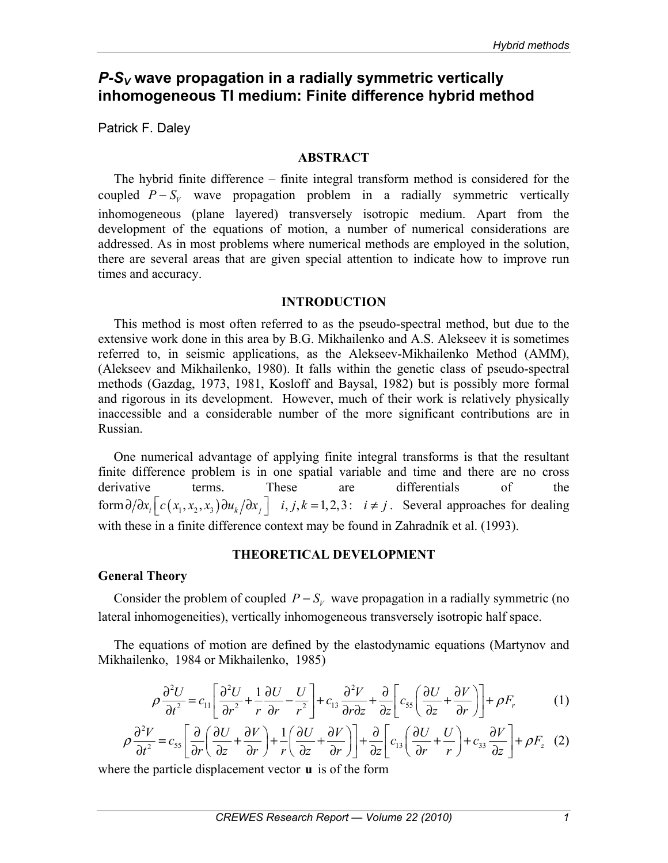# *P-SV* **wave propagation in a radially symmetric vertically inhomogeneous TI medium: Finite difference hybrid method**

Patrick F. Daley

## **ABSTRACT**

The hybrid finite difference – finite integral transform method is considered for the coupled  $P-S_v$  wave propagation problem in a radially symmetric vertically inhomogeneous (plane layered) transversely isotropic medium. Apart from the development of the equations of motion, a number of numerical considerations are addressed. As in most problems where numerical methods are employed in the solution, there are several areas that are given special attention to indicate how to improve run times and accuracy.

# **INTRODUCTION**

This method is most often referred to as the pseudo-spectral method, but due to the extensive work done in this area by B.G. Mikhailenko and A.S. Alekseev it is sometimes referred to, in seismic applications, as the Alekseev-Mikhailenko Method (AMM), (Alekseev and Mikhailenko, 1980). It falls within the genetic class of pseudo-spectral methods (Gazdag, 1973, 1981, Kosloff and Baysal, 1982) but is possibly more formal and rigorous in its development. However, much of their work is relatively physically inaccessible and a considerable number of the more significant contributions are in Russian.

One numerical advantage of applying finite integral transforms is that the resultant finite difference problem is in one spatial variable and time and there are no cross derivative terms. These are differentials of the form  $\partial/\partial x_i$   $\left[ c(x_1, x_2, x_3) \partial u_k/\partial x_j \right]$  *i*, *j*, *k* = 1, 2, 3: *i* ≠ *j*. Several approaches for dealing with these in a finite difference context may be found in Zahradník et al. (1993).

# **THEORETICAL DEVELOPMENT**

# **General Theory**

Consider the problem of coupled  $P - S_v$  wave propagation in a radially symmetric (no lateral inhomogeneities), vertically inhomogeneous transversely isotropic half space.

The equations of motion are defined by the elastodynamic equations (Martynov and Mikhailenko, 1984 or Mikhailenko, 1985)

$$
\rho \frac{\partial^2 U}{\partial t^2} = c_{11} \left[ \frac{\partial^2 U}{\partial r^2} + \frac{1}{r} \frac{\partial U}{\partial r} - \frac{U}{r^2} \right] + c_{13} \frac{\partial^2 V}{\partial r \partial z} + \frac{\partial}{\partial z} \left[ c_{55} \left( \frac{\partial U}{\partial z} + \frac{\partial V}{\partial r} \right) \right] + \rho F_r \tag{1}
$$

$$
\rho \frac{\partial^2 V}{\partial t^2} = c_{55} \left[ \frac{\partial}{\partial r} \left( \frac{\partial U}{\partial z} + \frac{\partial V}{\partial r} \right) + \frac{1}{r} \left( \frac{\partial U}{\partial z} + \frac{\partial V}{\partial r} \right) \right] + \frac{\partial}{\partial z} \left[ c_{13} \left( \frac{\partial U}{\partial r} + \frac{U}{r} \right) + c_{33} \frac{\partial V}{\partial z} \right] + \rho F_z \tag{2}
$$

where the particle displacement vector **u** is of the form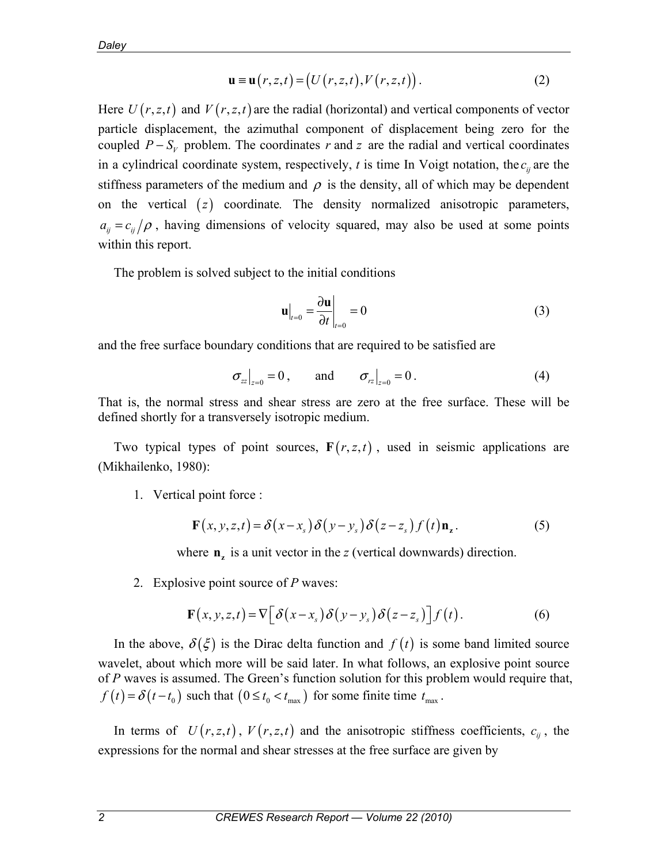$$
\mathbf{u} \equiv \mathbf{u}(r, z, t) = (U(r, z, t), V(r, z, t)).
$$
 (2)

Here  $U(r, z, t)$  and  $V(r, z, t)$  are the radial (horizontal) and vertical components of vector particle displacement, the azimuthal component of displacement being zero for the coupled  $P - S_V$  problem. The coordinates *r* and *z* are the radial and vertical coordinates in a cylindrical coordinate system, respectively,  $t$  is time In Voigt notation, the  $c_{ij}$  are the stiffness parameters of the medium and  $\rho$  is the density, all of which may be dependent on the vertical (*z*) coordinate. The density normalized anisotropic parameters,  $a_{ij} = c_{ij}/\rho$ , having dimensions of velocity squared, may also be used at some points within this report.

The problem is solved subject to the initial conditions

$$
\mathbf{u}\Big|_{t=0} = \frac{\partial \mathbf{u}}{\partial t}\Big|_{t=0} = 0\tag{3}
$$

and the free surface boundary conditions that are required to be satisfied are

$$
\sigma_{zz}\big|_{z=0} = 0
$$
, and  $\sigma_{rz}\big|_{z=0} = 0$ . (4)

That is, the normal stress and shear stress are zero at the free surface. These will be defined shortly for a transversely isotropic medium.

Two typical types of point sources,  $F(r, z, t)$ , used in seismic applications are (Mikhailenko, 1980):

1. Vertical point force :

$$
\mathbf{F}(x, y, z, t) = \delta(x - x_s) \delta(y - y_s) \delta(z - z_s) f(t) \mathbf{n}_z.
$$
 (5)

where  $\mathbf{n}_z$  is a unit vector in the *z* (vertical downwards) direction.

2. Explosive point source of *P* waves:

$$
\mathbf{F}(x, y, z, t) = \nabla \bigg[ \delta(x - x_s) \delta(y - y_s) \delta(z - z_s) \bigg] f(t).
$$
 (6)

In the above,  $\delta(\xi)$  is the Dirac delta function and  $f(t)$  is some band limited source wavelet, about which more will be said later. In what follows, an explosive point source of *P* waves is assumed. The Green's function solution for this problem would require that,  $f(t) = \delta(t - t_0)$  such that  $(0 \le t_0 < t_{\text{max}})$  for some finite time  $t_{\text{max}}$ .

In terms of  $U(r, z, t)$ ,  $V(r, z, t)$  and the anisotropic stiffness coefficients,  $c_{ij}$ , the expressions for the normal and shear stresses at the free surface are given by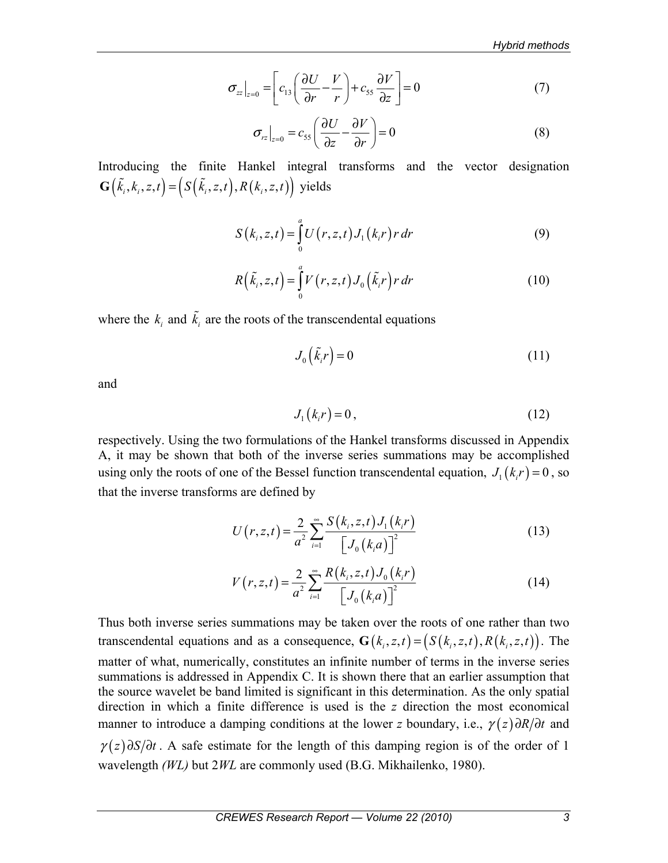$$
\sigma_{zz}\big|_{z=0} = \bigg[ c_{13} \bigg( \frac{\partial U}{\partial r} - \frac{V}{r} \bigg) + c_{55} \frac{\partial V}{\partial z} \bigg] = 0 \tag{7}
$$

$$
\sigma_{rz}\big|_{z=0} = c_{55} \left( \frac{\partial U}{\partial z} - \frac{\partial V}{\partial r} \right) = 0 \tag{8}
$$

Introducing the finite Hankel integral transforms and the vector designation  $\mathbf{G}(\tilde{k}_i, k_i, z, t) = (S(\tilde{k}_i, z, t), R(k_i, z, t))$  yields

$$
S(k_i, z, t) = \int_{0}^{a} U(r, z, t) J_1(k_i r) r dr
$$
 (9)

$$
R\left(\tilde{k}_i, z, t\right) = \int\limits_0^a V\left(r, z, t\right) J_0\left(\tilde{k}_i r\right) r \, dr \tag{10}
$$

where the  $k_i$  and  $\tilde{k}_i$  are the roots of the transcendental equations

$$
J_0\left(\tilde{k}_i r\right) = 0\tag{11}
$$

and

$$
J_1(k_i r) = 0, \qquad (12)
$$

respectively. Using the two formulations of the Hankel transforms discussed in Appendix A, it may be shown that both of the inverse series summations may be accomplished using only the roots of one of the Bessel function transcendental equation,  $J_1(k,r) = 0$ , so that the inverse transforms are defined by

$$
U(r, z, t) = \frac{2}{a^2} \sum_{i=1}^{\infty} \frac{S(k_i, z, t) J_1(k_i r)}{[J_0(k_i a)]^2}
$$
(13)

$$
V(r, z, t) = \frac{2}{a^2} \sum_{i=1}^{\infty} \frac{R(k_i, z, t) J_0(k_i r)}{[J_0(k_i a)]^2}
$$
 (14)

Thus both inverse series summations may be taken over the roots of one rather than two transcendental equations and as a consequence,  $\mathbf{G}(k_i, z, t) = (S(k_i, z, t), R(k_i, z, t))$ . The matter of what, numerically, constitutes an infinite number of terms in the inverse series summations is addressed in Appendix C. It is shown there that an earlier assumption that the source wavelet be band limited is significant in this determination. As the only spatial direction in which a finite difference is used is the *z* direction the most economical manner to introduce a damping conditions at the lower *z* boundary, i.e.,  $\gamma(z) \partial R/\partial t$  and  $\gamma(z)\partial S/\partial t$ . A safe estimate for the length of this damping region is of the order of 1 wavelength *(WL)* but 2*WL* are commonly used (B.G. Mikhailenko, 1980).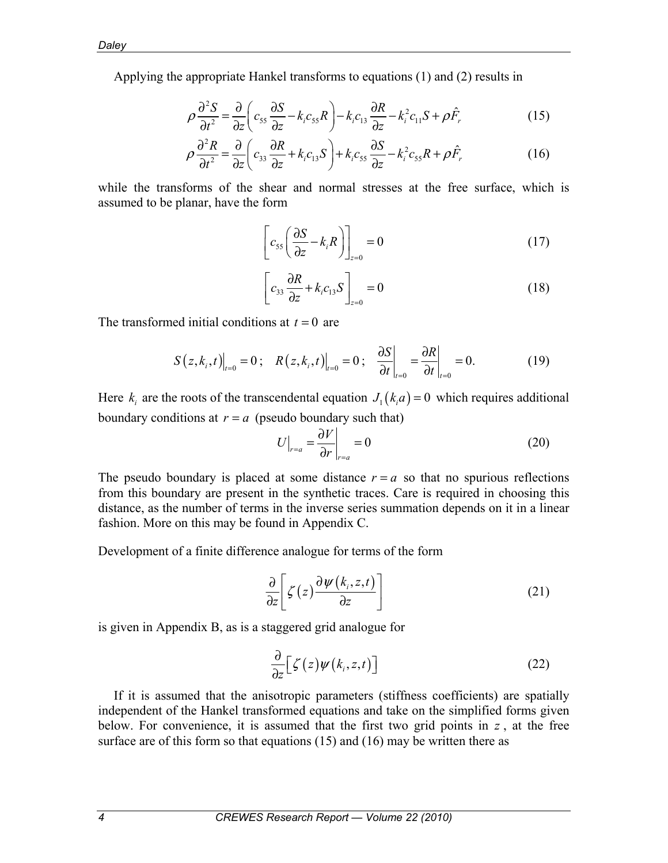Applying the appropriate Hankel transforms to equations (1) and (2) results in

$$
\rho \frac{\partial^2 S}{\partial t^2} = \frac{\partial}{\partial z} \left( c_{55} \frac{\partial S}{\partial z} - k_i c_{55} R \right) - k_i c_{13} \frac{\partial R}{\partial z} - k_i^2 c_{11} S + \rho \hat{F}, \tag{15}
$$

$$
\rho \frac{\partial^2 R}{\partial t^2} = \frac{\partial}{\partial z} \left( c_{33} \frac{\partial R}{\partial z} + k_i c_{13} S \right) + k_i c_{55} \frac{\partial S}{\partial z} - k_i^2 c_{55} R + \rho \hat{F}_r
$$
(16)

while the transforms of the shear and normal stresses at the free surface, which is assumed to be planar, have the form

$$
\left[c_{55}\left(\frac{\partial S}{\partial z} - k_i R\right)\right]_{z=0} = 0\tag{17}
$$

$$
\left[c_{33}\frac{\partial R}{\partial z} + k_i c_{13} S\right]_{z=0} = 0
$$
\n(18)

The transformed initial conditions at  $t = 0$  are

$$
S(z, k_i, t)|_{t=0} = 0; \quad R(z, k_i, t)|_{t=0} = 0; \quad \frac{\partial S}{\partial t}|_{t=0} = \frac{\partial R}{\partial t}|_{t=0} = 0. \tag{19}
$$

Here  $k_i$  are the roots of the transcendental equation  $J_1(k_ia) = 0$  which requires additional boundary conditions at  $r = a$  (pseudo boundary such that)

$$
U\big|_{r=a} = \frac{\partial V}{\partial r}\big|_{r=a} = 0\tag{20}
$$

The pseudo boundary is placed at some distance  $r = a$  so that no spurious reflections from this boundary are present in the synthetic traces. Care is required in choosing this distance, as the number of terms in the inverse series summation depends on it in a linear fashion. More on this may be found in Appendix C.

Development of a finite difference analogue for terms of the form

$$
\frac{\partial}{\partial z} \bigg[ \zeta(z) \frac{\partial \psi(k_i, z, t)}{\partial z} \bigg] \tag{21}
$$

is given in Appendix B, as is a staggered grid analogue for

$$
\frac{\partial}{\partial z} \Big[ \zeta(z) \psi(k_i, z, t) \Big] \tag{22}
$$

If it is assumed that the anisotropic parameters (stiffness coefficients) are spatially independent of the Hankel transformed equations and take on the simplified forms given below. For convenience, it is assumed that the first two grid points in  $z$ , at the free surface are of this form so that equations (15) and (16) may be written there as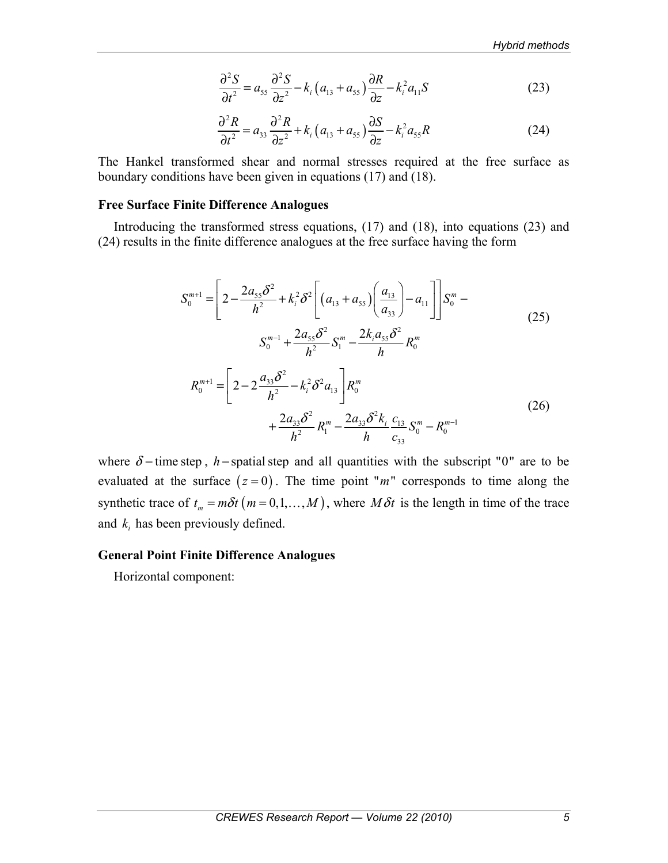$$
\frac{\partial^2 S}{\partial t^2} = a_{55} \frac{\partial^2 S}{\partial z^2} - k_i \left( a_{13} + a_{55} \right) \frac{\partial R}{\partial z} - k_i^2 a_{11} S \tag{23}
$$

$$
\frac{\partial^2 R}{\partial t^2} = a_{33} \frac{\partial^2 R}{\partial z^2} + k_i \left( a_{13} + a_{55} \right) \frac{\partial S}{\partial z} - k_i^2 a_{55} R \tag{24}
$$

The Hankel transformed shear and normal stresses required at the free surface as boundary conditions have been given in equations (17) and (18).

### **Free Surface Finite Difference Analogues**

Introducing the transformed stress equations, (17) and (18), into equations (23) and (24) results in the finite difference analogues at the free surface having the form

$$
S_0^{m+1} = \left[ 2 - \frac{2a_{55}\delta^2}{h^2} + k_i^2 \delta^2 \left[ (a_{13} + a_{55}) \left( \frac{a_{13}}{a_{33}} \right) - a_{11} \right] \right] S_0^m - S_0^{m-1} + \frac{2a_{55}\delta^2}{h^2} S_1^m - \frac{2k_i a_{55}\delta^2}{h} R_0^m
$$
  

$$
R_0^{m+1} = \left[ 2 - 2 \frac{a_{33}\delta^2}{h^2} - k_i^2 \delta^2 a_{13} \right] R_0^m + \frac{2a_{33}\delta^2}{h^2} R_1^m - \frac{2a_{33}\delta^2 k_i}{h} \frac{c_{13}}{c_{33}} S_0^m - R_0^{m-1}
$$
 (26)

where  $\delta$  – time step, *h* – spatial step and all quantities with the subscript "0" are to be evaluated at the surface  $(z = 0)$ . The time point "*m*" corresponds to time along the synthetic trace of  $t_m = m\delta t$  ( $m = 0,1,..., M$ ), where  $M\delta t$  is the length in time of the trace and  $k_i$  has been previously defined.

#### **General Point Finite Difference Analogues**

Horizontal component: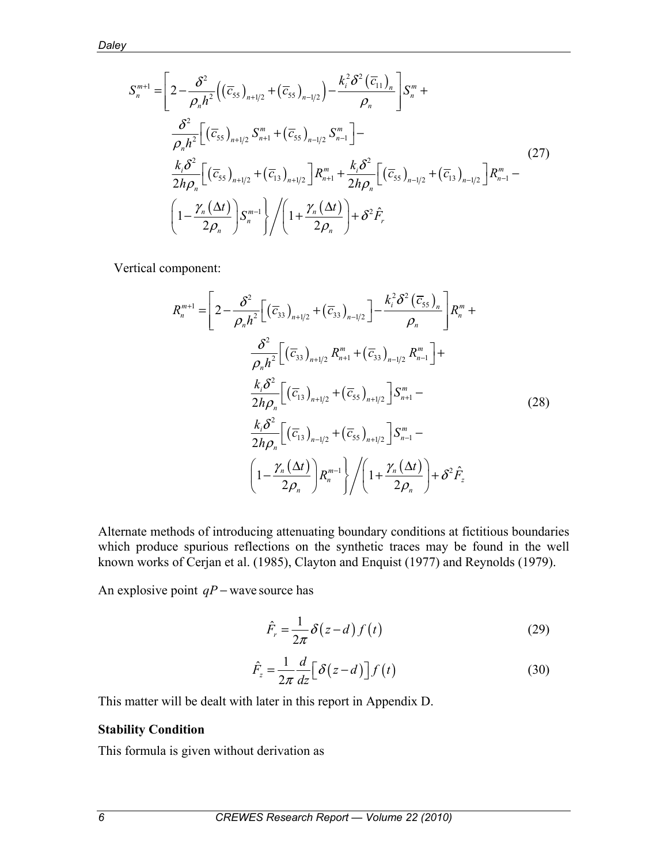$$
S_{n}^{m+1} = \left[ 2 - \frac{\delta^{2}}{\rho_{n}h^{2}} \left( (\overline{c}_{55})_{n+1/2} + (\overline{c}_{55})_{n-1/2} \right) - \frac{k_{i}^{2} \delta^{2} (\overline{c}_{11})_{n}}{\rho_{n}} \right] S_{n}^{m} +
$$
  
\n
$$
\frac{\delta^{2}}{\rho_{n}h^{2}} \left[ (\overline{c}_{55})_{n+1/2} S_{n+1}^{m} + (\overline{c}_{55})_{n-1/2} S_{n-1}^{m} \right] -
$$
  
\n
$$
\frac{k_{i} \delta^{2}}{2h \rho_{n}} \left[ (\overline{c}_{55})_{n+1/2} + (\overline{c}_{13})_{n+1/2} \right] R_{n+1}^{m} + \frac{k_{i} \delta^{2}}{2h \rho_{n}} \left[ (\overline{c}_{55})_{n-1/2} + (\overline{c}_{13})_{n-1/2} \right] R_{n-1}^{m} -
$$
  
\n
$$
\left( 1 - \frac{\gamma_{n}(\Delta t)}{2\rho_{n}} \right) S_{n}^{m-1} \left\{ \left( 1 + \frac{\gamma_{n}(\Delta t)}{2\rho_{n}} \right) + \delta^{2} \hat{F}_{r} \right\}
$$
\n(27)

Vertical component:

$$
R_{n}^{m+1} = \left[ 2 - \frac{\delta^{2}}{\rho_{n} h^{2}} \left[ \left( \overline{c}_{33} \right)_{n+1/2} + \left( \overline{c}_{33} \right)_{n-1/2} \right] - \frac{k_{i}^{2} \delta^{2} \left( \overline{c}_{55} \right)_{n}}{\rho_{n}} \right] R_{n}^{m} +
$$
  
\n
$$
\frac{\delta^{2}}{\rho_{n} h^{2}} \left[ \left( \overline{c}_{33} \right)_{n+1/2} R_{n+1}^{m} + \left( \overline{c}_{33} \right)_{n-1/2} R_{n-1}^{m} \right] +
$$
  
\n
$$
\frac{k_{i} \delta^{2}}{2 h \rho_{n}} \left[ \left( \overline{c}_{13} \right)_{n+1/2} + \left( \overline{c}_{55} \right)_{n+1/2} \right] S_{n+1}^{m} -
$$
  
\n
$$
\frac{k_{i} \delta^{2}}{2 h \rho_{n}} \left[ \left( \overline{c}_{13} \right)_{n-1/2} + \left( \overline{c}_{55} \right)_{n+1/2} \right] S_{n-1}^{m} -
$$
  
\n
$$
\left( 1 - \frac{\gamma_{n} (\Delta t)}{2 \rho_{n}} \right) R_{n}^{m-1} \Bigg/ \left( 1 + \frac{\gamma_{n} (\Delta t)}{2 \rho_{n}} \right) + \delta^{2} \hat{F}_{z}
$$

Alternate methods of introducing attenuating boundary conditions at fictitious boundaries which produce spurious reflections on the synthetic traces may be found in the well known works of Cerjan et al. (1985), Clayton and Enquist (1977) and Reynolds (1979).

An explosive point *qP* − wave source has

$$
\hat{F}_r = \frac{1}{2\pi} \delta(z - d) f(t)
$$
\n(29)

$$
\hat{F}_z = \frac{1}{2\pi} \frac{d}{dz} \left[ \delta(z - d) \right] f(t)
$$
\n(30)

This matter will be dealt with later in this report in Appendix D.

## **Stability Condition**

This formula is given without derivation as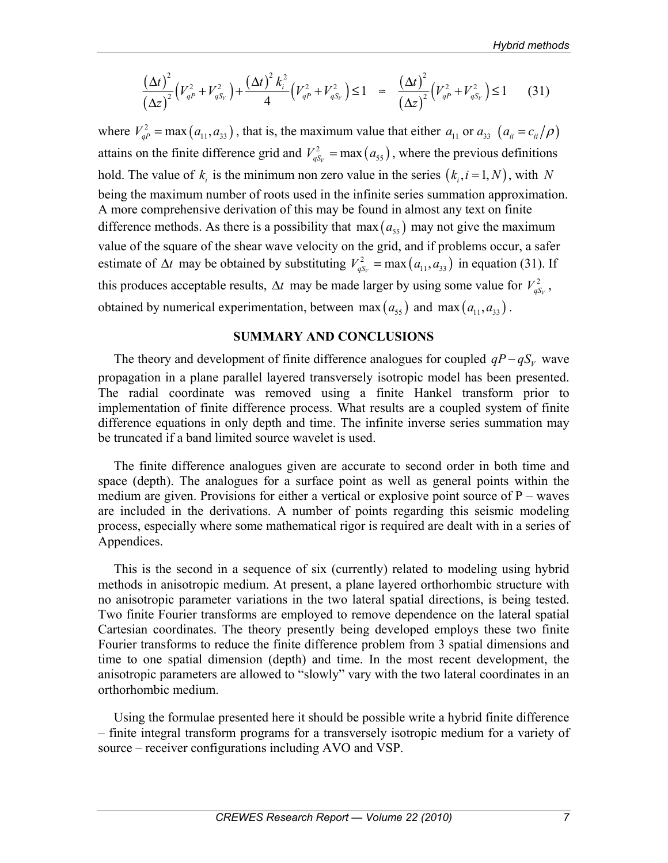$$
\frac{(\Delta t)^2}{(\Delta z)^2} \left(V_{qP}^2 + V_{qS_V}^2\right) + \frac{(\Delta t)^2 k_i^2}{4} \left(V_{qP}^2 + V_{qS_V}^2\right) \le 1 \approx \frac{(\Delta t)^2}{(\Delta z)^2} \left(V_{qP}^2 + V_{qS_V}^2\right) \le 1 \tag{31}
$$

where  $V_{a}^2 = \max(a_{11}, a_{33})$ , that is, the maximum value that either  $a_{11}$  or  $a_{33}$   $(a_{ii} = c_{ii}/\rho)$ attains on the finite difference grid and  $V_{qS_v}^2 = \max(a_{ss})$ , where the previous definitions hold. The value of  $k_i$  is the minimum non zero value in the series  $(k_i, i = 1, N)$ , with N being the maximum number of roots used in the infinite series summation approximation. A more comprehensive derivation of this may be found in almost any text on finite difference methods. As there is a possibility that max  $(a_{55})$  may not give the maximum value of the square of the shear wave velocity on the grid, and if problems occur, a safer estimate of  $\Delta t$  may be obtained by substituting  $V_{qS_v}^2 = \max (a_{11}, a_{33})$  in equation (31). If this produces acceptable results,  $\Delta t$  may be made larger by using some value for  $V_{qS_y}^2$ , obtained by numerical experimentation, between max  $(a_{55})$  and max  $(a_{11}, a_{33})$ .

### **SUMMARY AND CONCLUSIONS**

The theory and development of finite difference analogues for coupled  $qP - qS_v$  wave propagation in a plane parallel layered transversely isotropic model has been presented. The radial coordinate was removed using a finite Hankel transform prior to implementation of finite difference process. What results are a coupled system of finite difference equations in only depth and time. The infinite inverse series summation may be truncated if a band limited source wavelet is used.

The finite difference analogues given are accurate to second order in both time and space (depth). The analogues for a surface point as well as general points within the medium are given. Provisions for either a vertical or explosive point source of  $P$  – waves are included in the derivations. A number of points regarding this seismic modeling process, especially where some mathematical rigor is required are dealt with in a series of Appendices.

This is the second in a sequence of six (currently) related to modeling using hybrid methods in anisotropic medium. At present, a plane layered orthorhombic structure with no anisotropic parameter variations in the two lateral spatial directions, is being tested. Two finite Fourier transforms are employed to remove dependence on the lateral spatial Cartesian coordinates. The theory presently being developed employs these two finite Fourier transforms to reduce the finite difference problem from 3 spatial dimensions and time to one spatial dimension (depth) and time. In the most recent development, the anisotropic parameters are allowed to "slowly" vary with the two lateral coordinates in an orthorhombic medium.

Using the formulae presented here it should be possible write a hybrid finite difference – finite integral transform programs for a transversely isotropic medium for a variety of source – receiver configurations including AVO and VSP.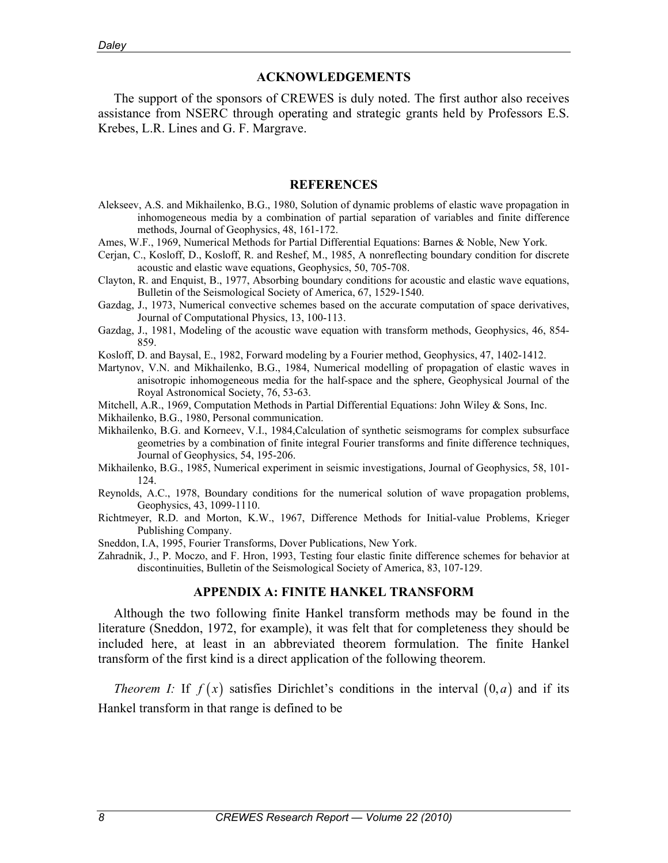### **ACKNOWLEDGEMENTS**

The support of the sponsors of CREWES is duly noted. The first author also receives assistance from NSERC through operating and strategic grants held by Professors E.S. Krebes, L.R. Lines and G. F. Margrave.

#### **REFERENCES**

- Alekseev, A.S. and Mikhailenko, B.G., 1980, Solution of dynamic problems of elastic wave propagation in inhomogeneous media by a combination of partial separation of variables and finite difference methods, Journal of Geophysics, 48, 161-172.
- Ames, W.F., 1969, Numerical Methods for Partial Differential Equations: Barnes & Noble, New York.
- Cerjan, C., Kosloff, D., Kosloff, R. and Reshef, M., 1985, A nonreflecting boundary condition for discrete acoustic and elastic wave equations, Geophysics, 50, 705-708.
- Clayton, R. and Enquist, B., 1977, Absorbing boundary conditions for acoustic and elastic wave equations, Bulletin of the Seismological Society of America, 67, 1529-1540.
- Gazdag, J., 1973, Numerical convective schemes based on the accurate computation of space derivatives, Journal of Computational Physics, 13, 100-113.
- Gazdag, J., 1981, Modeling of the acoustic wave equation with transform methods, Geophysics, 46, 854- 859.
- Kosloff, D. and Baysal, E., 1982, Forward modeling by a Fourier method, Geophysics, 47, 1402-1412.
- Martynov, V.N. and Mikhailenko, B.G., 1984, Numerical modelling of propagation of elastic waves in anisotropic inhomogeneous media for the half-space and the sphere, Geophysical Journal of the Royal Astronomical Society, 76, 53-63.
- Mitchell, A.R., 1969, Computation Methods in Partial Differential Equations: John Wiley & Sons, Inc.
- Mikhailenko, B.G., 1980, Personal communication.
- Mikhailenko, B.G. and Korneev, V.I., 1984,Calculation of synthetic seismograms for complex subsurface geometries by a combination of finite integral Fourier transforms and finite difference techniques, Journal of Geophysics, 54, 195-206.
- Mikhailenko, B.G., 1985, Numerical experiment in seismic investigations, Journal of Geophysics, 58, 101- 124.
- Reynolds, A.C., 1978, Boundary conditions for the numerical solution of wave propagation problems, Geophysics, 43, 1099-1110.
- Richtmeyer, R.D. and Morton, K.W., 1967, Difference Methods for Initial-value Problems, Krieger Publishing Company.
- Sneddon, I.A, 1995, Fourier Transforms, Dover Publications, New York.
- Zahradnik, J., P. Moczo, and F. Hron, 1993, Testing four elastic finite difference schemes for behavior at discontinuities, Bulletin of the Seismological Society of America, 83, 107-129.

### **APPENDIX A: FINITE HANKEL TRANSFORM**

Although the two following finite Hankel transform methods may be found in the literature (Sneddon, 1972, for example), it was felt that for completeness they should be included here, at least in an abbreviated theorem formulation. The finite Hankel transform of the first kind is a direct application of the following theorem.

*Theorem I:* If  $f(x)$  satisfies Dirichlet's conditions in the interval  $(0, a)$  and if its Hankel transform in that range is defined to be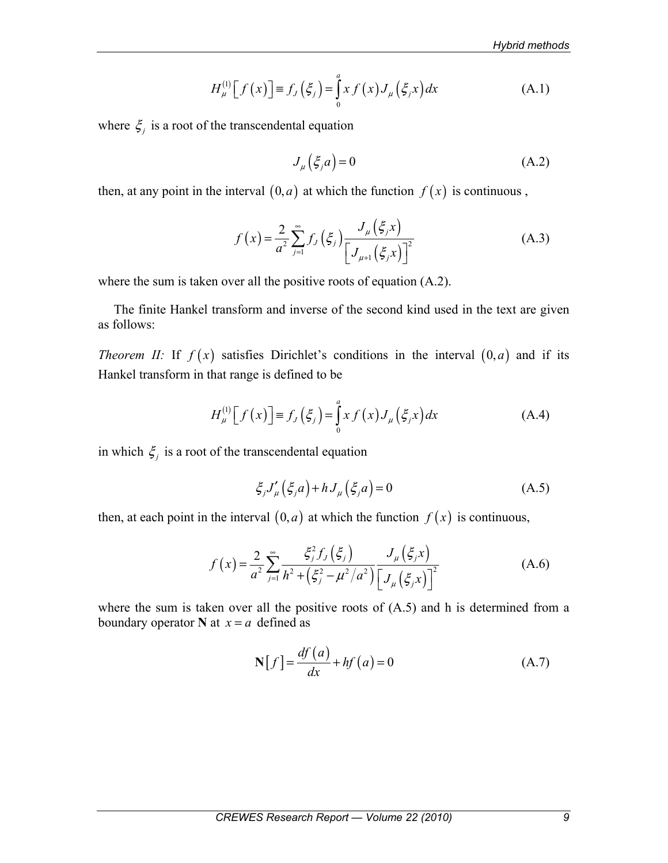$$
H_{\mu}^{(1)}\left[f(x)\right] \equiv f_{J}\left(\xi_{j}\right) = \int_{0}^{a} x f(x) J_{\mu}\left(\xi_{j} x\right) dx \tag{A.1}
$$

where  $\xi$  is a root of the transcendental equation

$$
J_{\mu}\left(\xi_{j}a\right) = 0\tag{A.2}
$$

then, at any point in the interval  $(0, a)$  at which the function  $f(x)$  is continuous,

$$
f(x) = \frac{2}{a^2} \sum_{j=1}^{\infty} f_j(\xi_j) \frac{J_\mu(\xi_j x)}{\left[J_{\mu+1}(\xi_j x)\right]^2}
$$
(A.3)

where the sum is taken over all the positive roots of equation (A.2).

The finite Hankel transform and inverse of the second kind used in the text are given as follows:

*Theorem II:* If  $f(x)$  satisfies Dirichlet's conditions in the interval  $(0, a)$  and if its Hankel transform in that range is defined to be

$$
H_{\mu}^{(1)}[f(x)] \equiv f_{J}(\xi_{j}) = \int_{0}^{a} x f(x) J_{\mu}(\xi_{j} x) dx
$$
 (A.4)

in which  $\xi_j$  is a root of the transcendental equation

$$
\xi_j J'_{\mu} (\xi_j a) + h J_{\mu} (\xi_j a) = 0 \tag{A.5}
$$

then, at each point in the interval  $(0, a)$  at which the function  $f(x)$  is continuous,

$$
f(x) = \frac{2}{a^2} \sum_{j=1}^{\infty} \frac{\xi_j^2 f_j(\xi_j)}{h^2 + (\xi_j^2 - \mu^2/a^2)} \frac{J_\mu(\xi_j x)}{[J_\mu(\xi_j x)]^2}
$$
(A.6)

where the sum is taken over all the positive roots of  $(A.5)$  and h is determined from a boundary operator **N** at  $x = a$  defined as

$$
\mathbf{N}[f] = \frac{df(a)}{dx} + hf(a) = 0
$$
\n(A.7)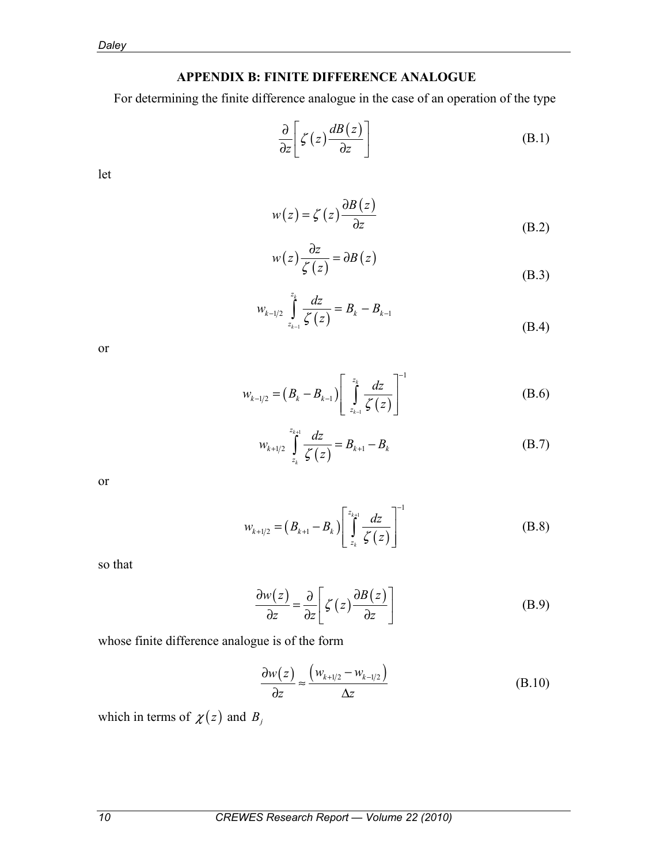# **APPENDIX B: FINITE DIFFERENCE ANALOGUE**

For determining the finite difference analogue in the case of an operation of the type

$$
\frac{\partial}{\partial z} \left[ \zeta(z) \frac{dB(z)}{\partial z} \right] \tag{B.1}
$$

let

$$
w(z) = \zeta(z) \frac{\partial B(z)}{\partial z}
$$
 (B.2)

$$
w(z)\frac{\partial z}{\zeta(z)} = \partial B(z)
$$
 (B.3)

$$
w_{k-1/2} \int_{z_{k-1}}^{z_k} \frac{dz}{\zeta(z)} = B_k - B_{k-1}
$$
 (B.4)

or

$$
w_{k-1/2} = (B_k - B_{k-1}) \left[ \int_{z_{k-1}}^{z_k} \frac{dz}{\zeta(z)} \right]^{-1}
$$
 (B.6)

$$
w_{k+1/2} \int_{z_k}^{z_{k+1}} \frac{dz}{\zeta(z)} = B_{k+1} - B_k
$$
 (B.7)

or

$$
w_{k+1/2} = (B_{k+1} - B_k) \left[ \int_{z_k}^{z_{k+1}} \frac{dz}{\zeta(z)} \right]^{-1}
$$
 (B.8)

so that

$$
\frac{\partial w(z)}{\partial z} = \frac{\partial}{\partial z} \left[ \zeta(z) \frac{\partial B(z)}{\partial z} \right]
$$
 (B.9)

whose finite difference analogue is of the form

$$
\frac{\partial w(z)}{\partial z} \approx \frac{\left(w_{k+1/2} - w_{k-1/2}\right)}{\Delta z}
$$
\n(B.10)

which in terms of  $\chi(z)$  and  $B_j$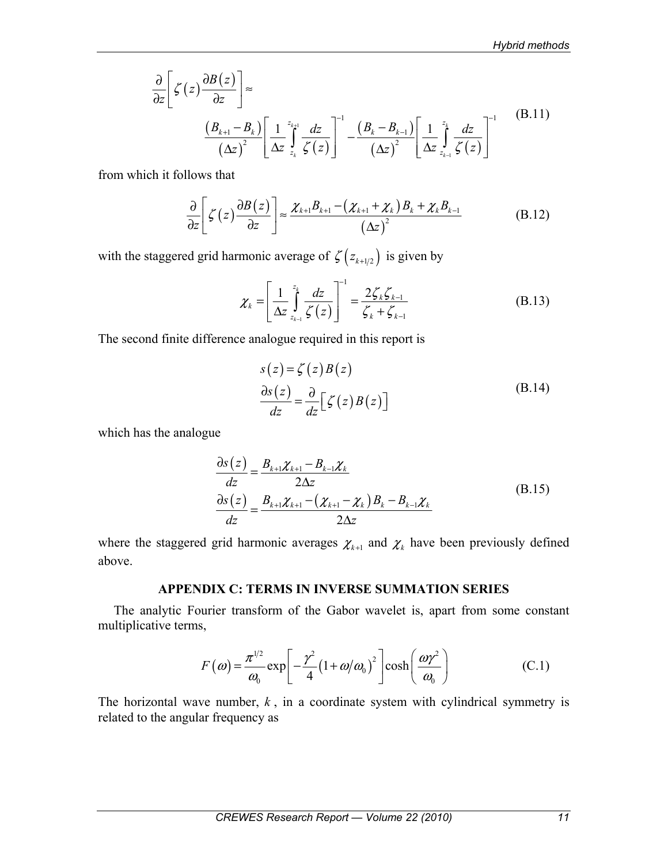$$
\frac{\partial}{\partial z} \left[ \zeta(z) \frac{\partial B(z)}{\partial z} \right] \approx \frac{\left( B_{k+1} - B_k \right)}{\left( \Delta z \right)^2} \left[ \frac{1}{\Delta z} \int_{z_k}^{z_{k+1}} \frac{dz}{\zeta(z)} \right]^{-1} - \frac{\left( B_k - B_{k-1} \right)}{\left( \Delta z \right)^2} \left[ \frac{1}{\Delta z} \int_{z_{k-1}}^{z_k} \frac{dz}{\zeta(z)} \right]^{-1} \tag{B.11}
$$

from which it follows that

$$
\frac{\partial}{\partial z} \left[ \zeta(z) \frac{\partial B(z)}{\partial z} \right] \approx \frac{\chi_{k+1} B_{k+1} - (\chi_{k+1} + \chi_k) B_k + \chi_k B_{k-1}}{(\Delta z)^2}
$$
(B.12)

with the staggered grid harmonic average of  $\zeta(z_{k+1/2})$  is given by

$$
\chi_{k} = \left[\frac{1}{\Delta z} \int_{z_{k-1}}^{z_{k}} \frac{dz}{\zeta(z)}\right]^{-1} = \frac{2\zeta_{k}\zeta_{k-1}}{\zeta_{k} + \zeta_{k-1}}
$$
(B.13)

The second finite difference analogue required in this report is

$$
s(z) = \zeta(z)B(z)
$$
  
\n
$$
\frac{\partial s(z)}{\partial z} = \frac{\partial}{\partial z} [\zeta(z)B(z)]
$$
\n(B.14)

which has the analogue

$$
\frac{\partial s(z)}{\partial z} = \frac{B_{k+1}\chi_{k+1} - B_{k-1}\chi_k}{2\Delta z}
$$
\n
$$
\frac{\partial s(z)}{\partial z} = \frac{B_{k+1}\chi_{k+1} - (\chi_{k+1} - \chi_k)B_k - B_{k-1}\chi_k}{2\Delta z}
$$
\n(B.15)

where the staggered grid harmonic averages  $\chi_{k+1}$  and  $\chi_k$  have been previously defined above.

# **APPENDIX C: TERMS IN INVERSE SUMMATION SERIES**

The analytic Fourier transform of the Gabor wavelet is, apart from some constant multiplicative terms,

$$
F(\omega) = \frac{\pi^{1/2}}{\omega_0} \exp\left[-\frac{\gamma^2}{4} (1 + \omega/\omega_0)^2\right] \cosh\left(\frac{\omega \gamma^2}{\omega_0}\right)
$$
 (C.1)

The horizontal wave number,  $k$ , in a coordinate system with cylindrical symmetry is related to the angular frequency as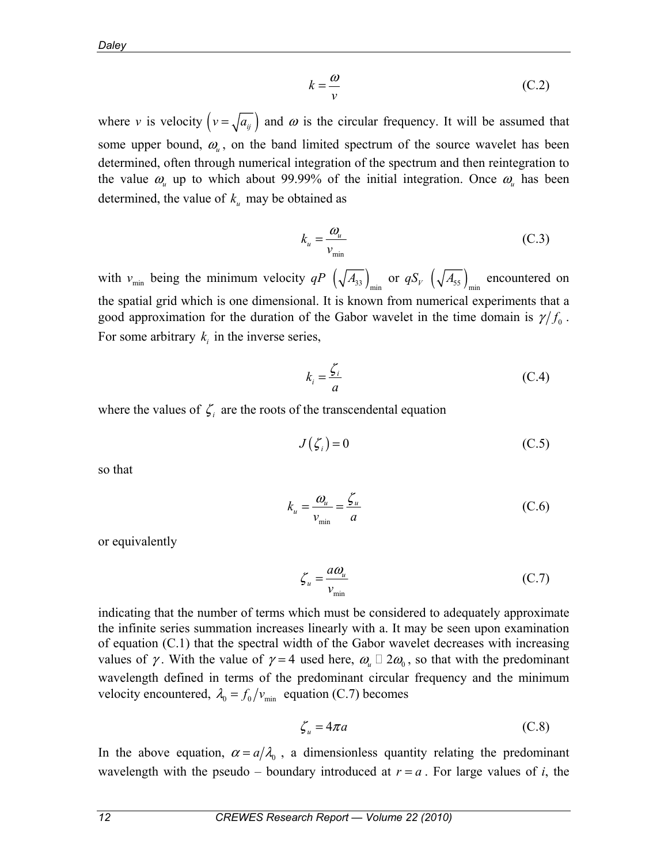$$
k = \frac{\omega}{\nu} \tag{C.2}
$$

where *v* is velocity  $(v = \sqrt{a_{ij}})$  and  $\omega$  is the circular frequency. It will be assumed that some upper bound,  $\omega_{\mu}$ , on the band limited spectrum of the source wavelet has been determined, often through numerical integration of the spectrum and then reintegration to the value  $\omega_{\mu}$  up to which about 99.99% of the initial integration. Once  $\omega_{\mu}$  has been determined, the value of  $k_{u}$  may be obtained as

$$
k_u = \frac{\omega_u}{v_{\text{min}}} \tag{C.3}
$$

with  $v_{\min}$  being the minimum velocity  $qP\left(\sqrt{A_{33}}\right)_{\min}$  or  $qS_V\left(\sqrt{A_{55}}\right)_{\min}$  encountered on the spatial grid which is one dimensional. It is known from numerical experiments that a good approximation for the duration of the Gabor wavelet in the time domain is  $\gamma/f_0$ . For some arbitrary  $k_i$  in the inverse series,

$$
k_i = \frac{\zeta_i}{a} \tag{C.4}
$$

where the values of  $\zeta$  are the roots of the transcendental equation

$$
J(\zeta_i) = 0 \tag{C.5}
$$

so that

$$
k_u = \frac{\omega_u}{v_{\min}} = \frac{\zeta_u}{a} \tag{C.6}
$$

or equivalently

$$
\zeta_u = \frac{a\omega_u}{v_{\text{min}}} \tag{C.7}
$$

indicating that the number of terms which must be considered to adequately approximate the infinite series summation increases linearly with a. It may be seen upon examination of equation (C.1) that the spectral width of the Gabor wavelet decreases with increasing values of  $\gamma$ . With the value of  $\gamma = 4$  used here,  $\omega_{\mu} \square 2 \omega_0$ , so that with the predominant wavelength defined in terms of the predominant circular frequency and the minimum velocity encountered,  $\lambda_0 = f_0 / v_{\text{min}}$  equation (C.7) becomes

$$
\zeta_u = 4\pi a \tag{C.8}
$$

In the above equation,  $\alpha = a/\lambda_0$ , a dimensionless quantity relating the predominant wavelength with the pseudo – boundary introduced at  $r = a$ . For large values of *i*, the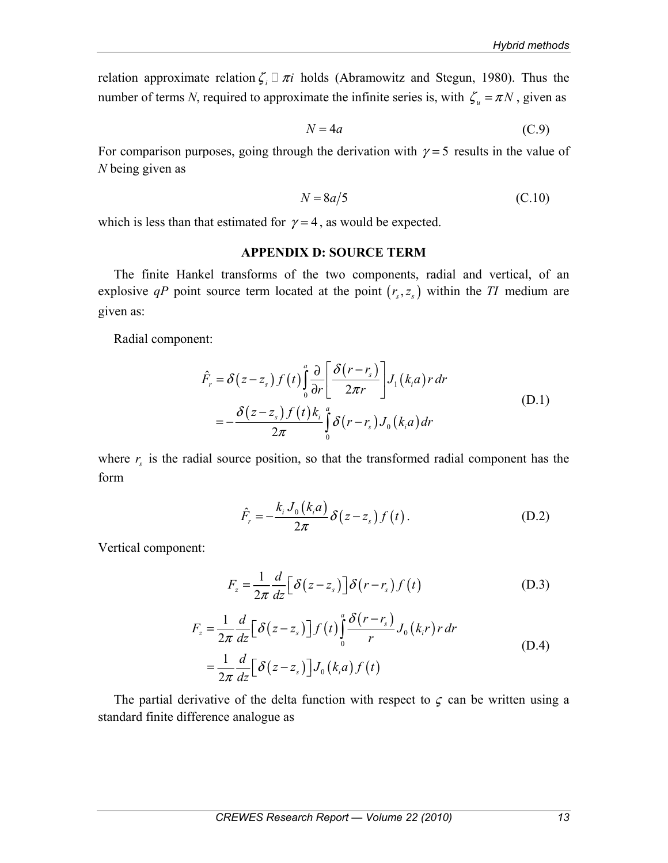relation approximate relation  $\zeta_i \square \pi i$  holds (Abramowitz and Stegun, 1980). Thus the number of terms *N*, required to approximate the infinite series is, with  $\zeta_u = \pi N$ , given as

$$
N = 4a \tag{C.9}
$$

For comparison purposes, going through the derivation with  $\gamma = 5$  results in the value of *N* being given as

$$
N = 8a/5 \tag{C.10}
$$

which is less than that estimated for  $\gamma = 4$ , as would be expected.

### **APPENDIX D: SOURCE TERM**

The finite Hankel transforms of the two components, radial and vertical, of an explosive *qP* point source term located at the point  $(r_s, z_s)$  within the *TI* medium are given as:

Radial component:

$$
\hat{F}_r = \delta(z - z_s) f(t) \int_0^a \frac{\partial}{\partial r} \left[ \frac{\delta(r - r_s)}{2\pi r} \right] J_1(k_i a) r dr
$$
\n
$$
= -\frac{\delta(z - z_s) f(t) k_i}{2\pi} \int_0^a \delta(r - r_s) J_0(k_i a) dr
$$
\n(D.1)

where  $r<sub>s</sub>$  is the radial source position, so that the transformed radial component has the form

$$
\hat{F}_r = -\frac{k_i J_0(k_i a)}{2\pi} \delta(z - z_s) f(t).
$$
\n(D.2)

Vertical component:

$$
F_z = \frac{1}{2\pi} \frac{d}{dz} \left[ \delta(z - z_s) \right] \delta(r - r_s) f(t)
$$
 (D.3)

$$
F_z = \frac{1}{2\pi} \frac{d}{dz} \Big[ \delta(z - z_s) \Big] f(t) \int_0^a \frac{\delta(r - r_s)}{r} J_0(k_i r) r dr
$$
  
= 
$$
\frac{1}{2\pi} \frac{d}{dz} \Big[ \delta(z - z_s) \Big] J_0(k_i a) f(t)
$$
 (D.4)

The partial derivative of the delta function with respect to  $\zeta$  can be written using a standard finite difference analogue as